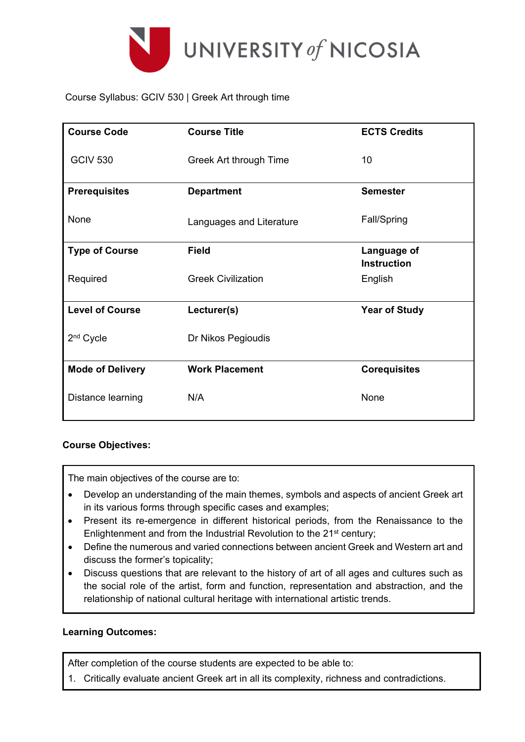

Course Syllabus: GCIV 530 | Greek Art through time

| <b>Course Code</b>      | <b>Course Title</b>       | <b>ECTS Credits</b>               |
|-------------------------|---------------------------|-----------------------------------|
| <b>GCIV 530</b>         | Greek Art through Time    | 10                                |
| <b>Prerequisites</b>    | <b>Department</b>         | <b>Semester</b>                   |
| None                    | Languages and Literature  | Fall/Spring                       |
| <b>Type of Course</b>   | <b>Field</b>              | Language of<br><b>Instruction</b> |
| Required                | <b>Greek Civilization</b> | English                           |
| <b>Level of Course</b>  | Lecturer(s)               | <b>Year of Study</b>              |
| 2 <sup>nd</sup> Cycle   | Dr Nikos Pegioudis        |                                   |
| <b>Mode of Delivery</b> | <b>Work Placement</b>     | <b>Corequisites</b>               |
| Distance learning       | N/A                       | None                              |

## **Course Objectives:**

The main objectives of the course are to:

- Develop an understanding of the main themes, symbols and aspects of ancient Greek art in its various forms through specific cases and examples;
- Present its re-emergence in different historical periods, from the Renaissance to the Enlightenment and from the Industrial Revolution to the 21<sup>st</sup> century;
- Define the numerous and varied connections between ancient Greek and Western art and discuss the former's topicality;
- Discuss questions that are relevant to the history of art of all ages and cultures such as the social role of the artist, form and function, representation and abstraction, and the relationship of national cultural heritage with international artistic trends.

## **Learning Outcomes:**

After completion of the course students are expected to be able to:

1. Critically evaluate ancient Greek art in all its complexity, richness and contradictions.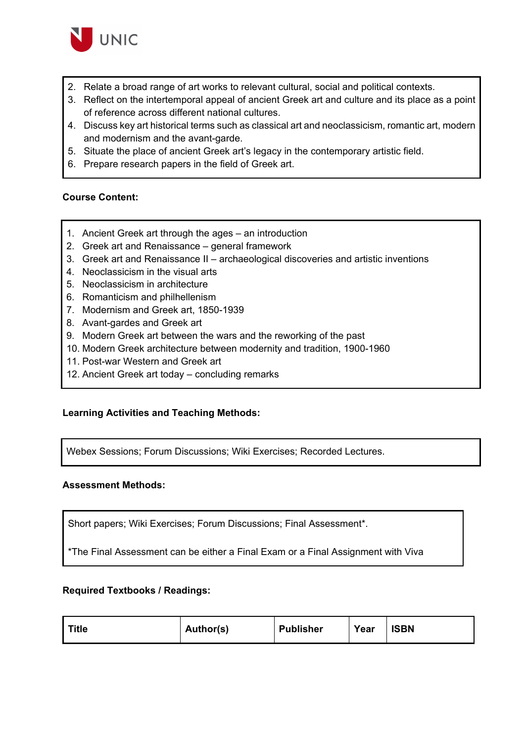

- 2. Relate a broad range of art works to relevant cultural, social and political contexts.
- 3. Reflect on the intertemporal appeal of ancient Greek art and culture and its place as a point of reference across different national cultures.
- 4. Discuss key art historical terms such as classical art and neoclassicism, romantic art, modern and modernism and the avant-garde.
- 5. Situate the place of ancient Greek art's legacy in the contemporary artistic field.
- 6. Prepare research papers in the field of Greek art.

#### **Course Content:**

- 1. Ancient Greek art through the ages an introduction
- 2. Greek art and Renaissance general framework
- 3. Greek art and Renaissance II archaeological discoveries and artistic inventions
- 4. Neoclassicism in the visual arts
- 5. Neoclassicism in architecture
- 6. Romanticism and philhellenism
- 7. Modernism and Greek art, 1850-1939
- 8. Avant-gardes and Greek art
- 9. Modern Greek art between the wars and the reworking of the past
- 10. Modern Greek architecture between modernity and tradition, 1900-1960
- 11. Post-war Western and Greek art
- 12. Ancient Greek art today concluding remarks

## **Learning Activities and Teaching Methods:**

Webex Sessions; Forum Discussions; Wiki Exercises; Recorded Lectures.

#### **Assessment Methods:**

Short papers; Wiki Exercises; Forum Discussions; Final Assessment\*.

\*The Final Assessment can be either a Final Exam or a Final Assignment with Viva

#### **Required Textbooks / Readings:**

| <b>Title</b> | Author(s) | <b>Publisher</b> | Year | <b>ISBN</b> |
|--------------|-----------|------------------|------|-------------|
|--------------|-----------|------------------|------|-------------|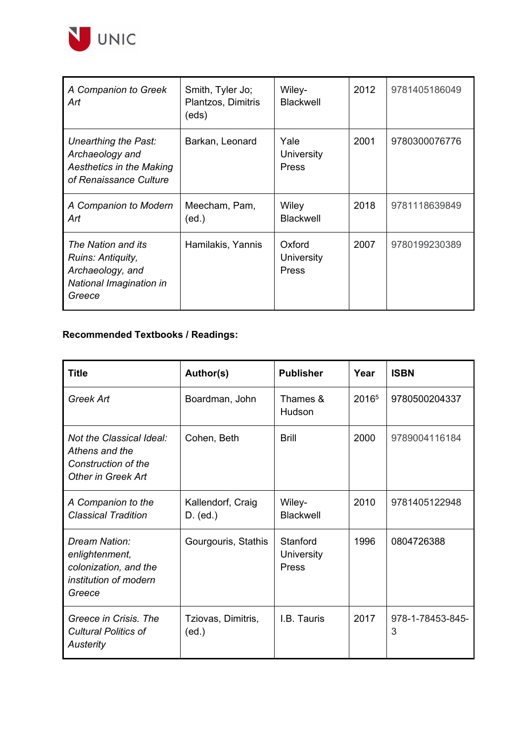

| A Companion to Greek<br>Art                                                                          | Smith, Tyler Jo;<br>Plantzos, Dimitris<br>(eds) | Wiley-<br><b>Blackwell</b>           | 2012 | 9781405186049 |
|------------------------------------------------------------------------------------------------------|-------------------------------------------------|--------------------------------------|------|---------------|
| Unearthing the Past:<br>Archaeology and<br><b>Aesthetics in the Making</b><br>of Renaissance Culture | Barkan, Leonard                                 | Yale<br><b>University</b><br>Press   | 2001 | 9780300076776 |
| A Companion to Modern<br>Art                                                                         | Meecham, Pam,<br>(ed.)                          | Wiley<br><b>Blackwell</b>            | 2018 | 9781118639849 |
| The Nation and its<br>Ruins: Antiquity,<br>Archaeology, and<br>National Imagination in<br>Greece     | Hamilakis, Yannis                               | Oxford<br><b>University</b><br>Press | 2007 | 9780199230389 |

# **Recommended Textbooks / Readings:**

| <b>Title</b>                                                                                   | Author(s)                       | <b>Publisher</b>                | Year              | <b>ISBN</b>           |
|------------------------------------------------------------------------------------------------|---------------------------------|---------------------------------|-------------------|-----------------------|
| Greek Art                                                                                      | Boardman, John                  | Thames &<br>Hudson              | 2016 <sup>5</sup> | 9780500204337         |
| Not the Classical Ideal:<br>Athens and the<br>Construction of the<br><b>Other in Greek Art</b> | Cohen, Beth                     | <b>Brill</b>                    | 2000              | 9789004116184         |
| A Companion to the<br><b>Classical Tradition</b>                                               | Kallendorf, Craig<br>$D.$ (ed.) | Wiley-<br><b>Blackwell</b>      | 2010              | 9781405122948         |
| Dream Nation:<br>enlightenment,<br>colonization, and the<br>institution of modern<br>Greece    | Gourgouris, Stathis             | Stanford<br>University<br>Press | 1996              | 0804726388            |
| Greece in Crisis. The<br><b>Cultural Politics of</b><br>Austerity                              | Tziovas, Dimitris,<br>(ed.)     | I.B. Tauris                     | 2017              | 978-1-78453-845-<br>3 |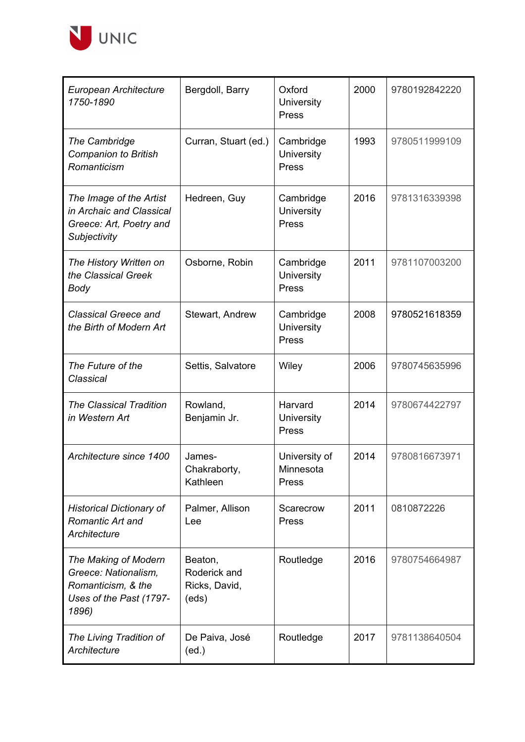

| European Architecture<br>1750-1890                                                                     | Bergdoll, Barry                                   | Oxford<br>University<br>Press              | 2000 | 9780192842220 |
|--------------------------------------------------------------------------------------------------------|---------------------------------------------------|--------------------------------------------|------|---------------|
| The Cambridge<br><b>Companion to British</b><br>Romanticism                                            | Curran, Stuart (ed.)                              | Cambridge<br>University<br>Press           | 1993 | 9780511999109 |
| The Image of the Artist<br>in Archaic and Classical<br>Greece: Art, Poetry and<br>Subjectivity         | Hedreen, Guy                                      | Cambridge<br>University<br>Press           | 2016 | 9781316339398 |
| The History Written on<br>the Classical Greek<br><b>Body</b>                                           | Osborne, Robin                                    | Cambridge<br>University<br>Press           | 2011 | 9781107003200 |
| <b>Classical Greece and</b><br>the Birth of Modern Art                                                 | Stewart, Andrew                                   | Cambridge<br>University<br>Press           | 2008 | 9780521618359 |
| The Future of the<br>Classical                                                                         | Settis, Salvatore                                 | Wiley                                      | 2006 | 9780745635996 |
| <b>The Classical Tradition</b><br>in Western Art                                                       | Rowland,<br>Benjamin Jr.                          | Harvard<br>University<br>Press             | 2014 | 9780674422797 |
| Architecture since 1400                                                                                | James-<br>Chakraborty,<br>Kathleen                | University of<br>Minnesota<br><b>Press</b> | 2014 | 9780816673971 |
| <b>Historical Dictionary of</b><br>Romantic Art and<br>Architecture                                    | Palmer, Allison<br>Lee                            | Scarecrow<br>Press                         | 2011 | 0810872226    |
| The Making of Modern<br>Greece: Nationalism,<br>Romanticism, & the<br>Uses of the Past (1797-<br>1896) | Beaton,<br>Roderick and<br>Ricks, David,<br>(eds) | Routledge                                  | 2016 | 9780754664987 |
| The Living Tradition of<br>Architecture                                                                | De Paiva, José<br>(ed.)                           | Routledge                                  | 2017 | 9781138640504 |